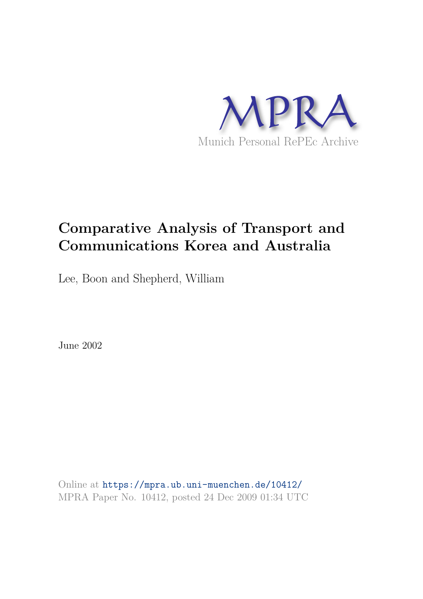

# **Comparative Analysis of Transport and Communications Korea and Australia**

Lee, Boon and Shepherd, William

June 2002

Online at https://mpra.ub.uni-muenchen.de/10412/ MPRA Paper No. 10412, posted 24 Dec 2009 01:34 UTC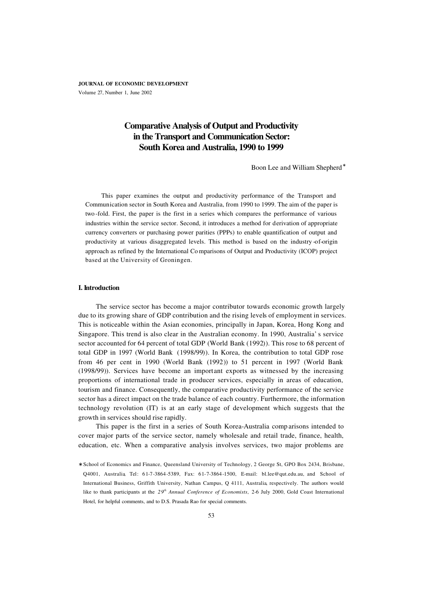**JOURNAL OF ECONOMIC DEVELOPMENT** Volume 27, Number 1, June 2002

# **Comparative Analysis of Output and Productivity in the Transport and Communication Sector: South Korea and Australia, 1990 to 1999**

Boon Lee and William Shepherd<sup>\*</sup>

This paper examines the output and productivity performance of the Transport and Communication sector in South Korea and Australia, from 1990 to 1999. The aim of the paper is two -fold. First, the paper is the first in a series which compares the performance of various industries within the service sector. Second, it introduces a method for derivation of appropriate currency converters or purchasing power parities (PPPs) to enable quantification of output and productivity at various disaggregated levels. This method is based on the industry -of-origin approach as refined by the International Co mparisons of Output and Productivity (ICOP) project based at the University of Groningen.

# **I. Introduction**

The service sector has become a major contributor towards economic growth largely due to its growing share of GDP contribution and the rising levels of employment in services. This is noticeable within the Asian economies, principally in Japan, Korea, Hong Kong and Singapore. This trend is also clear in the Australian economy. In 1990, Australia' s service sector accounted for 64 percent of total GDP (World Bank (1992)). This rose to 68 percent of total GDP in 1997 (World Bank (1998/99)). In Korea, the contribution to total GDP rose from 46 per cent in 1990 (World Bank (1992)) to 51 percent in 1997 (World Bank (1998/99)). Services have become an important exports as witnessed by the increasing proportions of international trade in producer services, especially in areas of education, tourism and finance. Consequently, the comparative productivity performance of the service sector has a direct impact on the trade balance of each country. Furthermore, the information technology revolution (IT) is at an early stage of development which suggests that the growth in services should rise rapidly.

This paper is the first in a series of South Korea-Australia comp arisons intended to cover major parts of the service sector, namely wholesale and retail trade, finance, health, education, etc. When a comparative analysis involves services, two major problems are

<sup>∗</sup> School of Economics and Finance, Queensland University of Technology, 2 George St, GPO Box 2434, Brisbane, Q4001, Australia, Tel: 61-7-3864-5389, Fax: 61-7-3864-1500, E-mail: bl.lee@qut.edu.au, and School of International Business, Griffith University, Nathan Campus, Q 4111, Australia, respectively. The authors would like to thank participants at the 29<sup>th</sup> Annual Conference of Economists, 2-6 July 2000, Gold Coast International Hotel, for helpful comments, and to D.S. Prasada Rao for special comments.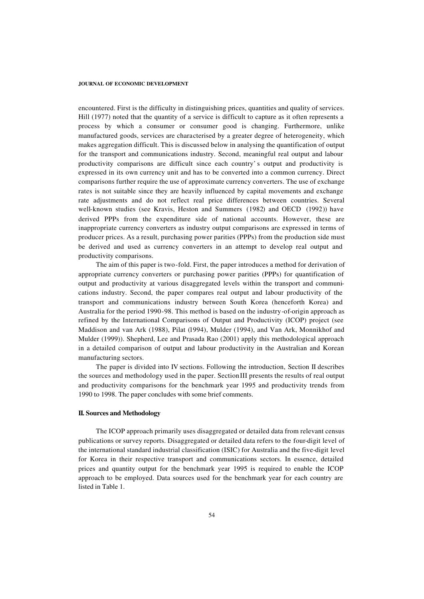encountered. First is the difficulty in distinguishing prices, quantities and quality of services. Hill (1977) noted that the quantity of a service is difficult to capture as it often represents a process by which a consumer or consumer good is changing. Furthermore, unlike manufactured goods, services are characterised by a greater degree of heterogeneity, which makes aggregation difficult. This is discussed below in analysing the quantification of output for the transport and communications industry. Second, meaningful real output and labour productivity comparisons are difficult since each country' s output and productivity is expressed in its own currency unit and has to be converted into a common currency. Direct comparisons further require the use of approximate currency converters. The use of exchange rates is not suitable since they are heavily influenced by capital movements and exchange rate adjustments and do not reflect real price differences between countries. Several well-known studies (see Kravis, Heston and Summers (1982) and OECD (1992)) have derived PPPs from the expenditure side of national accounts. However, these are inappropriate currency converters as industry output comparisons are expressed in terms of producer prices. As a result, purchasing power parities (PPPs) from the production side must be derived and used as currency converters in an attempt to develop real output and productivity comparisons.

The aim of this paper is two-fold. First, the paper introduces a method for derivation of appropriate currency converters or purchasing power parities (PPPs) for quantification of output and productivity at various disaggregated levels within the transport and communications industry. Second, the paper compares real output and labour productivity of the transport and communications industry between South Korea (henceforth Korea) and Australia for the period 1990-98. This method is based on the industry-of-origin approach as refined by the International Comparisons of Output and Productivity (ICOP) project (see Maddison and van Ark (1988), Pilat (1994), Mulder (1994), and Van Ark, Monnikhof and Mulder (1999)). Shepherd, Lee and Prasada Rao (2001) apply this methodological approach in a detailed comparison of output and labour productivity in the Australian and Korean manufacturing sectors.

The paper is divided into IV sections. Following the introduction, Section II describes the sources and methodology used in the paper. Section III presents the results of real output and productivity comparisons for the benchmark year 1995 and productivity trends from 1990 to 1998. The paper concludes with some brief comments.

# **II. Sources and Methodology**

The ICOP approach primarily uses disaggregated or detailed data from relevant census publications or survey reports. Disaggregated or detailed data refers to the four-digit level of the international standard industrial classification (ISIC) for Australia and the five-digit level for Korea in their respective transport and communications sectors. In essence, detailed prices and quantity output for the benchmark year 1995 is required to enable the ICOP approach to be employed. Data sources used for the benchmark year for each country are listed in Table 1.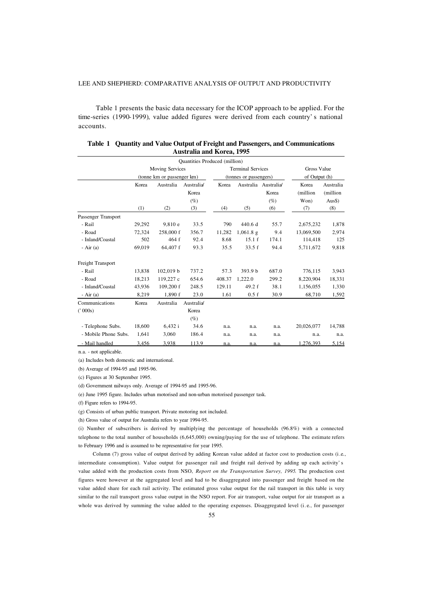Table 1 presents the basic data necessary for the ICOP approach to be applied. For the time-series (1990-1999), value added figures were derived from each country' s national accounts.

|                      |                            |                        | <b>Quantities Produced (million)</b> |        |                                                    |                                        |                           |                                 |  |
|----------------------|----------------------------|------------------------|--------------------------------------|--------|----------------------------------------------------|----------------------------------------|---------------------------|---------------------------------|--|
|                      |                            | <b>Moving Services</b> |                                      |        | <b>Terminal Services</b><br>(tonnes or passengers) |                                        |                           | Gross Value<br>of Output (h)    |  |
|                      | (tonne km or passenger km) |                        |                                      |        |                                                    |                                        |                           |                                 |  |
|                      | Korea                      | Australia              | Australia<br>Korea<br>$(\%)$         | Korea  |                                                    | Australia Australia<br>Korea<br>$(\%)$ | Korea<br>(million<br>Won) | Australia<br>(million<br>$Aus\$ |  |
|                      | (1)                        | (2)                    | (3)                                  | (4)    | (5)                                                | (6)                                    | (7)                       | (8)                             |  |
| Passenger Transport  |                            |                        |                                      |        |                                                    |                                        |                           |                                 |  |
| - Rail               | 29,292                     | 9,810e                 | 33.5                                 | 790    | 440.6 d                                            | 55.7                                   | 2,675,232                 | 1,878                           |  |
| - Road               | 72,324                     | 258,000 f              | 356.7                                | 11,282 | $1,061.8 \text{ g}$                                | 9.4                                    | 13,069,500                | 2,974                           |  |
| - Inland/Coastal     | 502                        | 464 f                  | 92.4                                 | 8.68   | 15.1 f                                             | 174.1                                  | 114,418                   | 125                             |  |
| $-Air(a)$            | 69,019                     | 64,407 f               | 93.3                                 | 35.5   | 33.5 f                                             | 94.4                                   | 5,711,672                 | 9,818                           |  |
| Freight Transport    |                            |                        |                                      |        |                                                    |                                        |                           |                                 |  |
| - Rail               | 13,838                     | 102,019 b              | 737.2                                | 57.3   | 393.9 b                                            | 687.0                                  | 776,115                   | 3,943                           |  |
| - Road               | 18,213                     | 119.227 c              | 654.6                                | 408.37 | 1.222.0                                            | 299.2                                  | 8,220,904                 | 18,331                          |  |
| - Inland/Coastal     | 43,936                     | $109,200$ f            | 248.5                                | 129.11 | 49.2 f                                             | 38.1                                   | 1,156,055                 | 1,330                           |  |
| $-Air(a)$            | 8,219                      | 1.890 f                | 23.0                                 | 1.61   | 0.5 f                                              | 30.9                                   | 68,710                    | 1,592                           |  |
| Communications       | Korea                      | Australia              | Australia                            |        |                                                    |                                        |                           |                                 |  |
| (2000s)              |                            |                        | Korea                                |        |                                                    |                                        |                           |                                 |  |
|                      |                            |                        | $(\%)$                               |        |                                                    |                                        |                           |                                 |  |
| - Telephone Subs.    | 18,600                     | 6,432 i                | 34.6                                 | n.a.   | n.a.                                               | n.a.                                   | 20,026,077                | 14,788                          |  |
| - Mobile Phone Subs. | 1,641                      | 3,060                  | 186.4                                | n.a.   | n.a.                                               | n.a.                                   | n.a.                      | n.a.                            |  |
| - Mail handled       | 3,456                      | 3,938                  | 113.9                                | n.a.   | n.a.                                               | n.a.                                   | 1.276.393                 | 5,154                           |  |

| Table 1 Quantity and Value Output of Freight and Passengers, and Communications |
|---------------------------------------------------------------------------------|
| Australia and Korea, 1995                                                       |

n.a. - not applicable.

(a) Includes both domestic and international.

(b) Average of 1994-95 and 1995-96.

(c) Figures at 30 September 1995.

(d) Government railways only. Average of 1994-95 and 1995-96.

(e) June 1995 figure. Includes urban motorised and non-urban motorised passenger task.

(f) Figure refers to 1994-95.

(g) Consists of urban public transport. Private motoring not included.

(h) Gross value of output for Australia refers to year 1994-95.

(i) Number of subscribers is derived by multiplying the percentage of households (96.8%) with a connected telephone to the total number of households (6,645,000) owning/paying for the use of telephone. The estimate refers to February 1996 and is assumed to be representative for year 1995.

Column (7) gross value of output derived by adding Korean value added at factor cost to production costs (i.e., intermediate consumption). Value output for passenger rail and freight rail derived by adding up each activity' s value added with the production costs from NSO, *Report on the Transportation Survey, 1995*. The production cost figures were however at the aggregated level and had to be disaggregated into passenger and freight based on the value added share for each rail activity. The estimated gross value output for the rail transport in this table is very similar to the rail transport gross value output in the NSO report. For air transport, value output for air transport as a whole was derived by summing the value added to the operating expenses. Disaggregated level (i.e., for passenger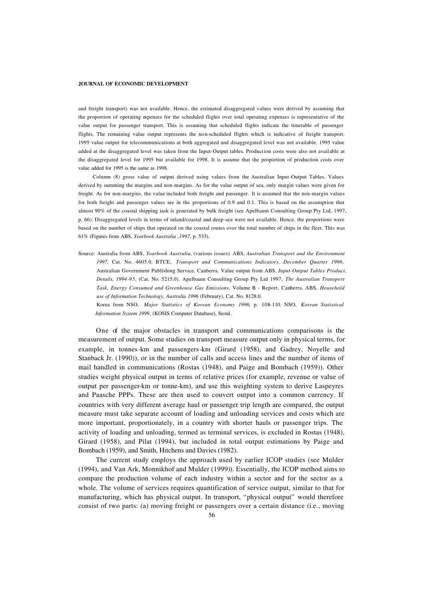and freight transport) was not available. Hence, the estimated disaggregated values were derived by assuming that the proportion of operating expenses for the scheduled flights over total operating expenses is representative of the value output for passenger transport. This is assuming that scheduled flights indicate the timetable of passenger flights. The remaining value output represents the non-scheduled flights which is indicative of freight transport. 1995 value output for telecommunications at both aggregated and disaggregated level was not available. 1995 value added at the disaggregated level was taken from the Input-Output tables. Production costs were also not avail able at the disaggregated level for 1995 but available for 1998. It is assume that the proportion of production costs over value added for 1995 is the same as 1998.

Column (8) gross value of output derived using values from the Australian Input-Output Tables. Values derived by summing the margins and non-margins. As for the value output of sea, only margin values were given for freight. As for non-margins, the value included both freight and passenger. It is assumed that the non-margin values for both freight and passenger values are in the proportions of 0.9 and 0.1. This is based on the assumption that almost 90% of the coastal shipping task is generated by bulk freight (see Apelbaum Consulting Group Pty Ltd, 1997, p. 66). Disaggregated levels in terms of inland/coastal and deep-sea were not available. Hence, the proportions were based on the number of ships that operated on the coastal routes over the total number of ships in the fleet. This was 61% (Figures from ABS, *Yearbook Australia ,1997*, p. 533).

Source: Australia from ABS, *Yearbook Australia*, (various issues)*.* ABS, *Australian Transport and the Environment 1997*, Cat. No. 4605.0. BTCE, *Transport and Communications Indicators, December Quarter 1996*, Australian Government Publishing Service, Canberra. Value output from ABS, *Input-Output Tables Product. Details, 1994-95*, (Cat. No. 5215.0). Apelbaum Consulting Group Pty Ltd 1997, *The Australian Transport Task, Energy Consumed and Greenhouse Gas Emissions*, Volume B - Report, Canberra. ABS, *Household use of Information Technology, Australia 1996* (February), Cat. No. 8128.0.

Korea from NSO, *Major Statistics of Korean Economy 1996*, p. 108-110. NSO, *Korean Statistical Information System 1999*, (KOSIS Computer Database), Seoul.

One of the major obstacles in transport and communications comparisons is the measurement of output. Some studies on transport measure output only in physical terms, for example, in tonnes-km and passengers-km (Girard (1958), and Gadrey, Noyelle and Stanback Jr. (1990)), or in the number of calls and access lines and the number of items of mail handled in communications (Rostas (1948), and Paige and Bombach (1959)). Other studies weight physical output in terms of relative prices (for example, revenue or value of output per passenger-km or tonne-km), and use this weighting system to derive Laspeyres and Paasche PPPs. These are then used to convert output into a common currency. If countries with very different average haul or passenger trip length are compared, the output measure must take separate account of loading and unloading services and costs which are more important, proportionately, in a country with shorter hauls or passenger trips. The activity of loading and unloading, termed as terminal services, is excluded in Rostas (1948), Girard (1958), and Pilat (1994), but included in total output estimations by Paige and Bombach (1959), and Smith, Hitchens and Davies (1982).

The current study employs the approach used by earlier ICOP studies (see Mulder (1994), and Van Ark, Monnikhof and Mulder (1999)). Essentially, the ICOP method aims to compare the production volume of each industry within a sector and for the sector as a whole. The volume of services requires quantification of service output, similar to that for manufacturing, which has physical output. In transport, "physical output" would therefore consist of two parts: (a) moving freight or passengers over a certain distance (i.e., moving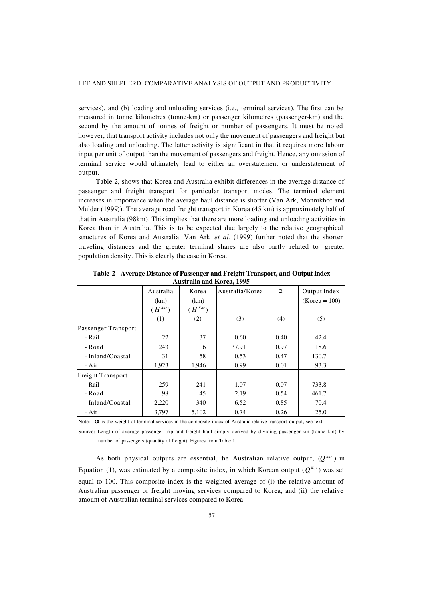services), and (b) loading and unloading services (i.e., terminal services). The first can be measured in tonne kilometres (tonne-km) or passenger kilometres (passenger-km) and the second by the amount of tonnes of freight or number of passengers. It must be noted however, that transport activity includes not only the movement of passengers and freight but also loading and unloading. The latter activity is significant in that it requires more labour input per unit of output than the movement of passengers and freight. Hence, any omission of terminal service would ultimately lead to either an overstatement or understatement of output.

Table 2, shows that Korea and Australia exhibit differences in the average distance of passenger and freight transport for particular transport modes. The terminal element increases in importance when the average haul distance is shorter (Van Ark, Monnikhof and Mulder (1999)). The average road freight transport in Korea (45 km) is approximately half of that in Australia (98km). This implies that there are more loading and unloading activities in Korea than in Australia. This is to be expected due largely to the relative geographical structures of Korea and Australia. Van Ark *et al*. (1999) further noted that the shorter traveling distances and the greater terminal shares are also partly related to greater population density. This is clearly the case in Korea.

|                     | Australia   | Korea       | Australia/Korea | $\alpha$ | Output Index    |
|---------------------|-------------|-------------|-----------------|----------|-----------------|
|                     | (km)        | (km)        |                 |          | $(Korea = 100)$ |
|                     | $(H^{Aus})$ | $(H^{Kor})$ |                 |          |                 |
|                     | (1)         | (2)         | (3)             | (4)      | (5)             |
| Passenger Transport |             |             |                 |          |                 |
| - Rail              | 22          | 37          | 0.60            | 0.40     | 42.4            |
| - Road              | 243         | 6           | 37.91           | 0.97     | 18.6            |
| - Inland/Coastal    | 31          | 58          | 0.53            | 0.47     | 130.7           |
| - Air               | 1,923       | 1,946       | 0.99            | 0.01     | 93.3            |
| Freight Transport   |             |             |                 |          |                 |
| - Rail              | 259         | 241         | 1.07            | 0.07     | 733.8           |
| - Road              | 98          | 45          | 2.19            | 0.54     | 461.7           |
| - Inland/Coastal    | 2,220       | 340         | 6.52            | 0.85     | 70.4            |
| - Air               | 3,797       | 5,102       | 0.74            | 0.26     | 25.0            |

**Table 2 Average Distance of Passenger and Freight Transport, and Output Index Australia and Korea, 1995**

Note:  $\alpha$  is the weight of terminal services in the composite index of Australia relative transport output, see text.

Source: Length of average passenger trip and freight haul simply derived by dividing passenger-km (tonne-km) by number of passengers (quantity of freight). Figures from Table 1.

As both physical outputs are essential, the Australian relative output,  $(Q^{Aw})$  in Equation (1), was estimated by a composite index, in which Korean output ( $Q^{Kor}$ ) was set equal to 100. This composite index is the weighted average of (i) the relative amount of Australian passenger or freight moving services compared to Korea, and (ii) the relative amount of Australian terminal services compared to Korea.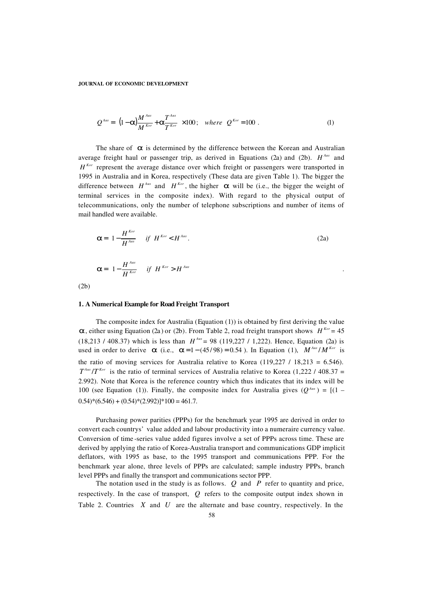$$
Q^{Ans} = \left[ (1-\alpha) \frac{M^{Ans}}{M^{Kor}} + \alpha \frac{T^{Ans}}{T^{Kor}} \right] \times 100 \, ; \quad where \quad Q^{Kor} = 100 \, . \tag{1}
$$

The share of  $\alpha$  is determined by the difference between the Korean and Australian average freight haul or passenger trip, as derived in Equations (2a) and (2b).  $H^{Ans}$  and  $H^{Kor}$  represent the average distance over which freight or passengers were transported in 1995 in Australia and in Korea, respectively (These data are given Table 1). The bigger the difference between  $H^{Ans}$  and  $H^{Kor}$ , the higher  $\alpha$  will be (i.e., the bigger the weight of terminal services in the composite index). With regard to the physical output of telecommunications, only the number of telephone subscriptions and number of items of mail handled were available.

$$
\alpha = \left(1 - \frac{H^{Kor}}{H^{Aus}}\right) \text{ if } H^{Kor} < H^{Aus}. \tag{2a}
$$
\n
$$
\alpha = \left(1 - \frac{H^{Aus}}{H^{Kor}}\right) \text{ if } H^{Kor} > H^{Aus} \tag{2b}
$$

## **1. A Numerical Example for Road Freight Transport**

(2b)

The composite index for Australia (Equation (1)) is obtained by first deriving the value  $\alpha$ , either using Equation (2a) or (2b). From Table 2, road freight transport shows *H*<sup>Kor</sup> = 45  $(18,213 / 408.37)$  which is less than  $H^{Ans} = 98 (119,227 / 1,222)$ . Hence, Equation (2a) is used in order to derive  $\alpha$  (i.e.,  $\alpha = 1 - (45/98) = 0.54$ ). In Equation (1),  $M^{Ans}/M^{Kn}$  is the ratio of moving services for Australia relative to Korea  $(119,227 / 18,213 = 6.546)$ .  $T^{Ans}/T^{Kor}$  is the ratio of terminal services of Australia relative to Korea (1,222 / 408.37 = 2.992). Note that Korea is the reference country which thus indicates that its index will be 100 (see Equation (1)). Finally, the composite index for Australia gives  $(Q^{Ans}) = [(1 (0.54)*(6.546) + (0.54)*(2.992)]*100 = 461.7.$ 

Purchasing power parities (PPPs) for the benchmark year 1995 are derived in order to convert each countrys' value added and labour productivity into a numeraire currency value. Conversion of time -series value added figures involve a set of PPPs across time. These are derived by applying the ratio of Korea-Australia transport and communications GDP implicit deflators, with 1995 as base, to the 1995 transport and communications PPP. For the benchmark year alone, three levels of PPPs are calculated; sample industry PPPs, branch level PPPs and finally the transport and communications sector PPP.

The notation used in the study is as follows. *Q* and *P* refer to quantity and price, respectively. In the case of transport, *Q* refers to the composite output index shown in Table 2. Countries *X* and *U* are the alternate and base country, respectively. In the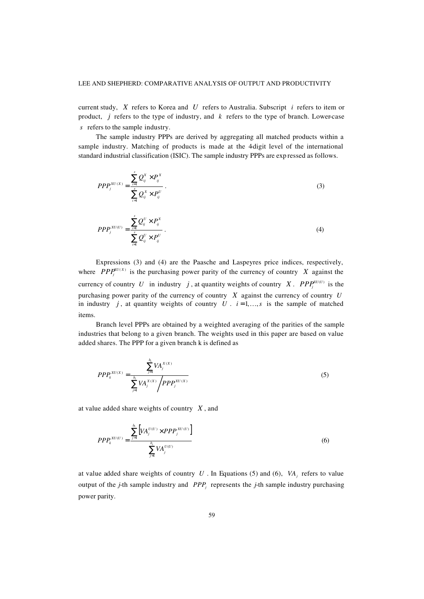current study, *X* refers to Korea and *U* refers to Australia. Subscript *i* refers to item or product, *j* refers to the type of industry, and *k* refers to the type of branch. Lower-case *s* refers to the sample industry.

The sample industry PPPs are derived by aggregating all matched products within a sample industry. Matching of products is made at the 4-digit level of the international standard industrial classification (ISIC). The sample industry PPPs are exp ressed as follows.

$$
PPP_j^{XU(X)} = \frac{\sum_{i=1}^s Q_{ij}^X \times P_{ij}^X}{\sum_{i=1}^s Q_{ij}^X \times P_{ij}^U}.
$$
 (3)

$$
PPP_j^{xU(U)} = \frac{\sum_{i=1}^s Q_{ij}^U \times P_{ij}^X}{\sum_{i=1}^s Q_{ij}^U \times P_{ij}^U}.
$$
\n
$$
(4)
$$

Expressions (3) and (4) are the Paasche and Laspeyres price indices, respectively, where *PPP*<sup>*v* $(U \times Y)$ </sup> is the purchasing power parity of the currency of country *X* against the currency of country U in industry j, at quantity weights of country X.  $PPP_j^{xU(U)}$  is the purchasing power parity of the currency of country *X* against the currency of country *U* in industry  $j$ , at quantity weights of country  $U$ .  $i=1,...,s$  is the sample of matched items.

Branch level PPPs are obtained by a weighted averaging of the parities of the sample industries that belong to a given branch. The weights used in this paper are based on value added shares. The PPP for a given branch k is defined as

$$
PPP_k^{xU(X)} = \frac{\sum_{j=1}^{b_i} VA_j^{x(X)}}{\sum_{j=1}^{b_i} VA_j^{x(X)}} \sqrt{PPP_j^{xU(X)}} \tag{5}
$$

at value added share weights of country *X* , and

$$
PPP_k^{xU(U)} = \frac{\sum_{j=1}^{b_i} \left[ VA_j^{U(U)} \times PPP_j^{xU(U)} \right]}{\sum_{j=1}^{b_i} VA_j^{U(U)}} \tag{6}
$$

at value added share weights of country *U* . In Equations (5) and (6), *VA<sup>j</sup>* refers to value output of the *j*-th sample industry and *PPP<sup>j</sup>* represents the *j*-th sample industry purchasing power parity.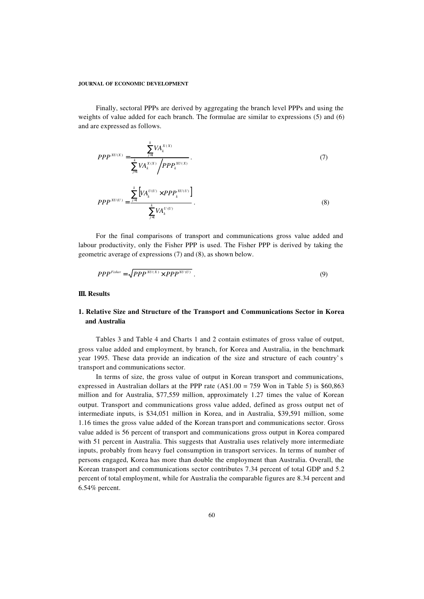Finally, sectoral PPPs are derived by aggregating the branch level PPPs and using the weights of value added for each branch. The formulae are similar to expressions (5) and (6) and are expressed as follows.

$$
PPP^{xU(X)} = \frac{\sum_{j=1}^{k} VA_k^{X(X)}}{\sum_{j=1}^{k} VA_k^{X(X)} / PPP_k^{xU(X)}}.
$$
 (7)

$$
PPP^{x_{U(U)}} = \frac{\sum_{j=1}^{k} \left[ VA_k^{U(U)} \times PPP_k^{x_{U(U)}} \right]}{\sum_{j=1}^{k} VA_k^{U(U)}}.
$$
\n(8)

For the final comparisons of transport and communications gross value added and labour productivity, only the Fisher PPP is used. The Fisher PPP is derived by taking the geometric average of expressions (7) and (8), as shown below.

$$
PPP^{Fisher} = \sqrt{PPP^{XU(X)} \times PPP^{XU(U)}}.
$$
\n(9)

# **III. Results**

# **1. Relative Size and Structure of the Transport and Communications Sector in Korea and Australia**

Tables 3 and Table 4 and Charts 1 and 2 contain estimates of gross value of output, gross value added and employment, by branch, for Korea and Australia, in the benchmark year 1995. These data provide an indication of the size and structure of each country' s transport and communications sector.

In terms of size, the gross value of output in Korean transport and communications, expressed in Australian dollars at the PPP rate  $(A$1.00 = 759$  Won in Table 5) is \$60,863 million and for Australia, \$77,559 million, approximately 1.27 times the value of Korean output. Transport and communications gross value added, defined as gross output net of intermediate inputs, is \$34,051 million in Korea, and in Australia, \$39,591 million, some 1.16 times the gross value added of the Korean transport and communications sector. Gross value added is 56 percent of transport and communications gross output in Korea compared with 51 percent in Australia. This suggests that Australia uses relatively more intermediate inputs, probably from heavy fuel consumption in transport services. In terms of number of persons engaged, Korea has more than double the employment than Australia. Overall, the Korean transport and communications sector contributes 7.34 percent of total GDP and 5.2 percent of total employment, while for Australia the comparable figures are 8.34 percent and 6.54% percent.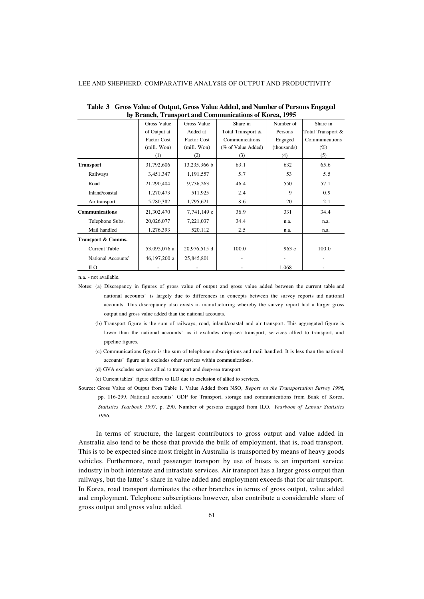| by Drahen, Transport and Communications of Korea, 1775 |                    |                    |                    |             |                   |  |  |  |
|--------------------------------------------------------|--------------------|--------------------|--------------------|-------------|-------------------|--|--|--|
|                                                        | Gross Value        | Gross Value        | Share in           | Number of   | Share in          |  |  |  |
|                                                        | of Output at       | Added at           | Total Transport &  | Persons     | Total Transport & |  |  |  |
|                                                        | <b>Factor Cost</b> | <b>Factor Cost</b> | Communications     | Engaged     | Communications    |  |  |  |
|                                                        | (mill. Won)        | (mill. Won)        | (% of Value Added) | (thousands) | $(\%)$            |  |  |  |
|                                                        | (1)                | (2)                | (3)                | (4)         | (5)               |  |  |  |
| <b>Transport</b>                                       | 31,792,606         | 13,235,366 b       | 63.1               | 632         | 65.6              |  |  |  |
| Railways                                               | 3,451,347          | 1,191,557          | 5.7                | 53          | 5.5               |  |  |  |
| Road                                                   | 21,290,404         | 9,736,263          | 46.4               | 550         | 57.1              |  |  |  |
| Inland/coastal                                         | 1,270,473          | 511,925            | 2.4                | 9           | 0.9               |  |  |  |
| Air transport                                          | 5,780,382          | 1,795,621          | 8.6                | 20          | 2.1               |  |  |  |
| Communications                                         | 21,302,470         | 7,741,149 с        | 36.9               | 331         | 34.4              |  |  |  |
| Telephone Subs.                                        | 20,026,077         | 7,221,037          | 34.4               | n.a.        | n.a.              |  |  |  |
| Mail handled                                           | 1,276,393          | 520,112            | 2.5                | n.a.        | n.a.              |  |  |  |
| Transport & Comms.                                     |                    |                    |                    |             |                   |  |  |  |
| <b>Current Table</b>                                   | 53,095,076 a       | 20,976,515 d       | 100.0              | 963 e       | 100.0             |  |  |  |
| National Accounts'                                     | 46,197,200 a       | 25,845,801         |                    |             |                   |  |  |  |
| <b>ILO</b>                                             |                    |                    |                    | 1,068       |                   |  |  |  |

**Table 3 Gross Value of Output, Gross Value Added, and Number of Persons Engaged by Branch, Transport and Communications of Korea, 1995**

n.a. - not available.

Notes: (a) Discrepancy in figures of gross value of output and gross value added between the current table and national accounts' is largely due to differences in concepts between the survey reports and national accounts. This discrepancy also exists in manufacturing whereby the survey report had a larger gross output and gross value added than the national accounts.

- (b) Transport figure is the sum of railways, road, inland/coastal and air transport. This aggregated figure is lower than the national accounts' as it excludes deep-sea transport, services allied to transport, and pipeline figures.
- (c) Communications figure is the sum of telephone subscriptions and mail handled. It is less than the national accounts' figure as it excludes other services within communications.
- (d) GVA excludes services allied to transport and deep-sea transport.

(e) Current tables' figure differs to ILO due to exclusion of allied to services.

Source: Gross Value of Output from Table 1. Value Added from NSO, *Report on the Transportation Survey 1996*, pp. 116-299. National accounts' GDP for Transport, storage and communications from Bank of Korea, *Statistics Yearbook 1997*, p. 290. Number of persons engaged from ILO, *Yearbook of Labour Statistics 1996.*

In terms of structure, the largest contributors to gross output and value added in Australia also tend to be those that provide the bulk of employment, that is, road transport. This is to be expected since most freight in Australia is transported by means of heavy goods vehicles. Furthermore, road passenger transport by use of buses is an important service industry in both interstate and intrastate services. Air transport has a larger gross output than railways, but the latter' s share in value added and employment exceeds that for air transport. In Korea, road transport dominates the other branches in terms of gross output, value added and employment. Telephone subscriptions however, also contribute a considerable share of gross output and gross value added.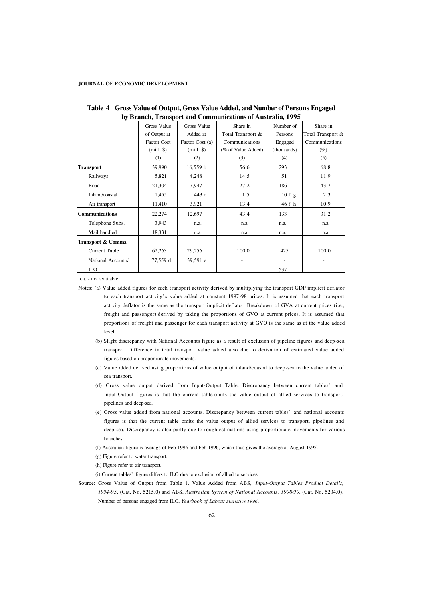|                       | DY DI AIRII, TTAIISPOLI ANU COMMUNICATIONS OF AUSTI ANA, 1993 |                 |                    |             |                   |  |  |  |  |
|-----------------------|---------------------------------------------------------------|-----------------|--------------------|-------------|-------------------|--|--|--|--|
|                       | Gross Value                                                   | Gross Value     | Share in           | Number of   | Share in          |  |  |  |  |
|                       | of Output at                                                  | Added at        | Total Transport &  | Persons     | Total Transport & |  |  |  |  |
|                       | <b>Factor Cost</b>                                            | Factor Cost (a) | Communications     | Engaged     | Communications    |  |  |  |  |
|                       | $(mill.$ \$)                                                  | $(mill.$ \$)    | (% of Value Added) | (thousands) | (%)               |  |  |  |  |
|                       | (1)                                                           | (2)             | (3)                | (4)         | (5)               |  |  |  |  |
| <b>Transport</b>      | 39,990                                                        | 16,559 b        | 56.6               | 293         | 68.8              |  |  |  |  |
| Railways              | 5,821                                                         | 4,248           | 14.5               | 51          | 11.9              |  |  |  |  |
| Road                  | 21,304                                                        | 7,947           | 27.2               | 186         | 43.7              |  |  |  |  |
| Inland/coastal        | 1,455                                                         | 443 с           | 1.5                | 10f, g      | 2.3               |  |  |  |  |
| Air transport         | 11,410                                                        | 3,921           | 13.4               | 46 f, h     | 10.9              |  |  |  |  |
| <b>Communications</b> | 22,274                                                        | 12,697          | 43.4               | 133         | 31.2              |  |  |  |  |
| Telephone Subs.       | 3,943                                                         | n.a.            | n.a.               | n.a.        | n.a.              |  |  |  |  |
| Mail handled          | 18,331                                                        | n.a.            | n.a.               | n.a.        | n.a.              |  |  |  |  |
| Transport & Comms.    |                                                               |                 |                    |             |                   |  |  |  |  |
| Current Table         | 62,263                                                        | 29,256          | 100.0              | 425 i       | 100.0             |  |  |  |  |
| National Accounts'    | 77,559 d                                                      | 39,591 e        |                    |             |                   |  |  |  |  |
| <b>ILO</b>            |                                                               |                 |                    | 537         |                   |  |  |  |  |

| Table 4 Gross Value of Output, Gross Value Added, and Number of Persons Engaged |
|---------------------------------------------------------------------------------|
| by Branch, Transport and Communications of Australia, 1995                      |

n.a. - not available.

Notes: (a) Value added figures for each transport activity derived by multiplying the transport GDP implicit deflator to each transport activity' s value added at constant 1997-98 prices. It is assumed that each transport activity deflator is the same as the transport implicit deflator. Breakdown of GVA at current prices (i.e., freight and passenger) derived by taking the proportions of GVO at current prices. It is assumed that proportions of freight and passenger for each transport activity at GVO is the same as at the value added level.

- (b) Slight discrepancy with National Accounts figure as a result of exclusion of pipeline figures and deep-sea transport. Difference in total transport value added also due to derivation of estimated value added figures based on proportionate movements.
- (c) Value added derived using proportions of value output of inland/coastal to deep-sea to the value added of sea transport.
- (d) Gross value output derived from Input-Output Table. Discrepancy between current tables' and Input-Output figures is that the current table omits the value output of allied services to transport, pipelines and deep-sea.
- (e) Gross value added from national accounts. Discrepancy between current tables' and national accounts figures is that the current table omits the value output of allied services to transport, pipelines and deep-sea. Discrepancy is also partly due to rough estimations using proportionate movements for various branches .
- (f) Australian figure is average of Feb 1995 and Feb 1996, which thus gives the average at August 1995.
- (g) Figure refer to water transport.
- (h) Figure refer to air transport.
- (i) Current tables' figure differs to ILO due to exclusion of allied to services.
- Source: Gross Value of Output from Table 1. Value Added from ABS, *Input-Output Tables Product Details, 1994-95*, (Cat. No. 5215.0) and ABS, *Australian System of National Accounts, 1998-99*, (Cat. No. 5204.0). Number of persons engaged from ILO, *Yearbook of Labour Statistics 1996*.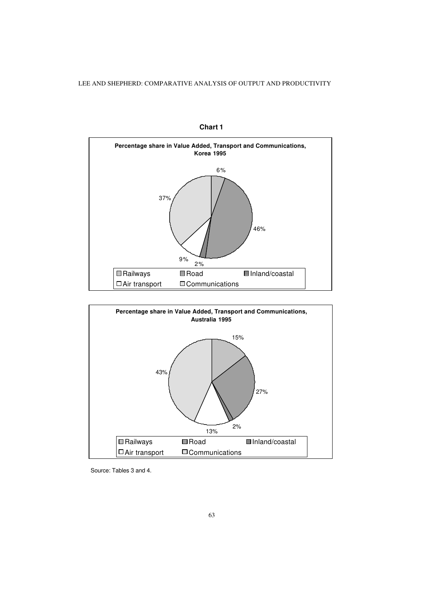

**Chart 1**



Source: Tables 3 and 4.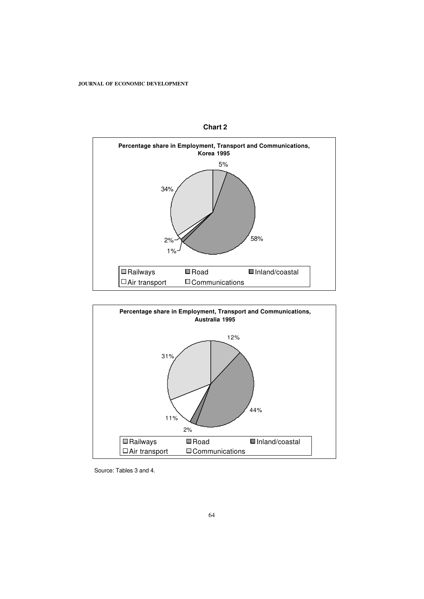





Source: Tables 3 and 4.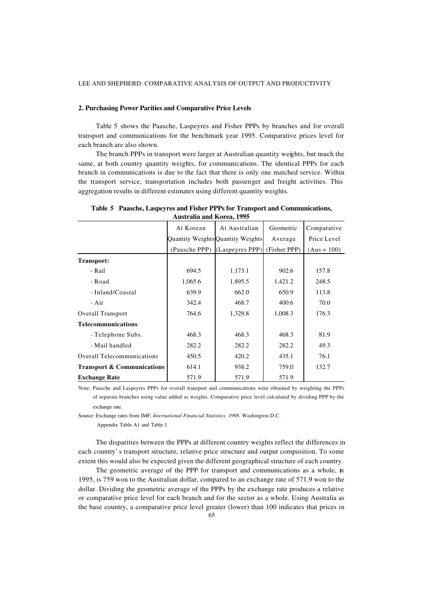# **2. Purchasing Power Parities and Comparative Price Levels**

Table 5 shows the Paasche, Laspeyres and Fisher PPPs by branches and for overall transport and communications for the benchmark year 1995. Comparative prices level for each branch are also shown.

The branch PPPs in transport were larger at Australian quantity weights, but much the same, at both country quantity weights, for communications. The identical PPPs for each branch in communications is due to the fact that there is only one matched service. Within the transport service, transportation includes both passenger and freight activities. This aggregation results in different estimates using different quantity weights.

| <b>Australia and Korea, 1995</b>      |           |                                   |              |               |  |  |  |  |
|---------------------------------------|-----------|-----------------------------------|--------------|---------------|--|--|--|--|
|                                       | At Korean | At Australian                     | Geometric    | Comparative   |  |  |  |  |
|                                       |           | Quantity Weights Quantity Weights | Average      | Price Level   |  |  |  |  |
|                                       |           | (Paasche PPP) (Laspeyres PPP)     | (Fisher PPP) | $(Aus = 100)$ |  |  |  |  |
| Transport:                            |           |                                   |              |               |  |  |  |  |
| - Rail                                | 694.5     | 1,173.1                           | 902.6        | 157.8         |  |  |  |  |
| - Road                                | 1,065.6   | 1,895.5                           | 1,421.2      | 248.5         |  |  |  |  |
| - Inland/Coastal                      | 639.9     | 662.0                             | 650.9        | 113.8         |  |  |  |  |
| - Air                                 | 342.4     | 468.7                             | 400.6        | 70.0          |  |  |  |  |
| <b>Overall Transport</b>              | 764.6     | 1,329.8                           | 1,008.3      | 176.3         |  |  |  |  |
| <b>Telecommunications</b>             |           |                                   |              |               |  |  |  |  |
| - Telephone Subs.                     | 468.3     | 468.3                             | 468.3        | 81.9          |  |  |  |  |
| - Mail handled                        | 282.2     | 282.2                             | 282.2        | 49.3          |  |  |  |  |
| <b>Overall Telecommunications</b>     | 450.5     | 420.2                             | 435.1        | 76.1          |  |  |  |  |
| <b>Transport &amp; Communications</b> | 614.1     | 938.2                             | 759.0        | 132.7         |  |  |  |  |
| <b>Exchange Rate</b>                  | 571.9     | 571.9                             | 571.9        |               |  |  |  |  |

**Table 5 Paasche, Laspeyres and Fisher PPPs for Transport and Communications,**

Note: Paasche and Laspeyres PPPs for overall transport and communications were obtained by weighting the PPPs of separate branches using value added as weights. Comparative price level calculated by dividing PPP by the exchange rate.

Source: Exchange rates from IMF, *International Financial Statistics, 1998*. Washington D.C.

Appendix Table A1 and Table 1.

The disparities between the PPPs at different country weights reflect the differences in each country' s transport structure, relative price structure and output composition. To some extent this would also be expected given the different geographical structure of each country.

The geometric average of the PPP for transport and communications as a whole, in 1995, is 759 won to the Australian dollar, compared to an exchange rate of 571.9 won to the dollar. Dividing the geometric average of the PPPs by the exchange rate produces a relative or comparative price level for each branch and for the sector as a whole. Using Australia as the base country, a comparative price level greater (lower) than 100 indicates that prices in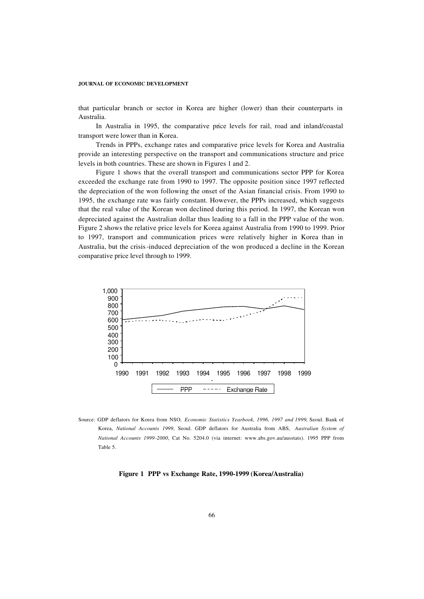that particular branch or sector in Korea are higher (lower) than their counterparts in Australia.

In Australia in 1995, the comparative price levels for rail, road and inland/coastal transport were lower than in Korea.

Trends in PPPs, exchange rates and comparative price levels for Korea and Australia provide an interesting perspective on the transport and communications structure and price levels in both countries. These are shown in Figures 1 and 2.

Figure 1 shows that the overall transport and communications sector PPP for Korea exceeded the exchange rate from 1990 to 1997. The opposite position since 1997 reflected the depreciation of the won following the onset of the Asian financial crisis. From 1990 to 1995, the exchange rate was fairly constant. However, the PPPs increased, which suggests that the real value of the Korean won declined during this period. In 1997, the Korean won depreciated against the Australian dollar thus leading to a fall in the PPP value of the won. Figure 2 shows the relative price levels for Korea against Australia from 1990 to 1999. Prior to 1997, transport and communication prices were relatively higher in Korea than in Australia, but the crisis-induced depreciation of the won produced a decline in the Korean comparative price level through to 1999.



Source: GDP deflators for Korea from NSO, *Economic Statistics Yearbook, 1996, 1997 and 1999*, Seoul. Bank of Korea, *National Accounts 1999*, Seoul. GDP deflators for Australia from ABS, *Australian System of National Accounts 1999-2000*, Cat No. 5204.0 (via internet: www.abs.gov.au/ausstats). 1995 PPP from Table 5.

# **Figure 1 PPP vs Exchange Rate, 1990-1999 (Korea/Australia)**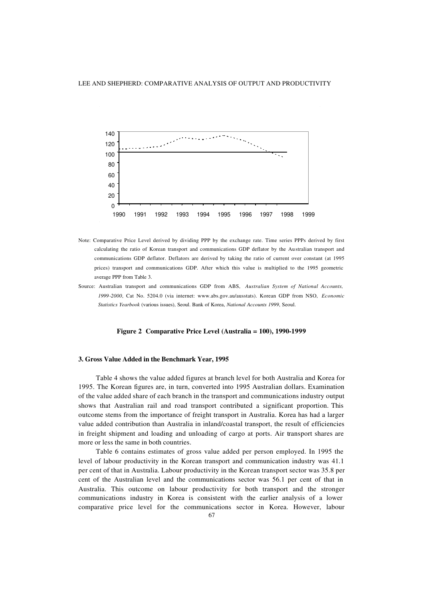

- Note: Comparative Price Level derived by dividing PPP by the exchange rate. Time series PPPs derived by first calculating the ratio of Korean transport and communications GDP deflator by the Australian transport and communications GDP deflator. Deflators are derived by taking the ratio of current over constant (at 1995 prices) transport and communications GDP. After which this value is multiplied to the 1995 geometric average PPP from Table 3.
- Source: Australian transport and communications GDP from ABS, *Australian System of National Accounts, 1999-2000*, Cat No. 5204.0 (via internet: www.abs.gov.au/ausstats). Korean GDP from NSO, *Economic Statistics Yearbook* (various issues), Seoul. Bank of Korea, *National Accounts 1999*, Seoul.

# **Figure 2 Comparative Price Level (Australia = 100), 1990-1999**

## **3. Gross Value Added in the Benchmark Year, 1995**

Table 4 shows the value added figures at branch level for both Australia and Korea for 1995. The Korean figures are, in turn, converted into 1995 Australian dollars. Examination of the value added share of each branch in the transport and communications industry output shows that Australian rail and road transport contributed a significant proportion. This outcome stems from the importance of freight transport in Australia. Korea has had a larger value added contribution than Australia in inland/coastal transport, the result of efficiencies in freight shipment and loading and unloading of cargo at ports. Air transport shares are more or less the same in both countries.

Table 6 contains estimates of gross value added per person employed. In 1995 the level of labour productivity in the Korean transport and communication industry was 41.1 per cent of that in Australia. Labour productivity in the Korean transport sector was 35.8 per cent of the Australian level and the communications sector was 56.1 per cent of that in Australia. This outcome on labour productivity for both transport and the stronger communications industry in Korea is consistent with the earlier analysis of a lower comparative price level for the communications sector in Korea. However, labour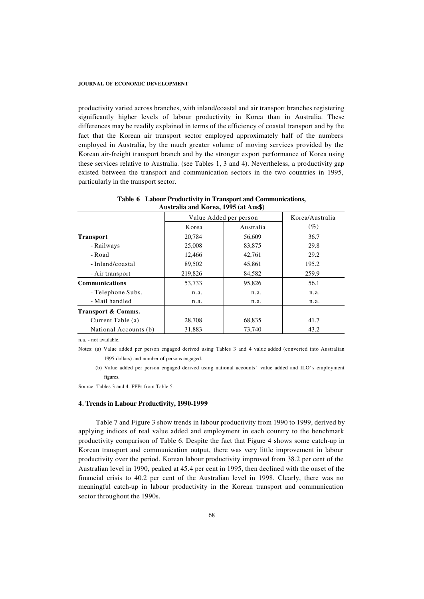productivity varied across branches, with inland/coastal and air transport branches registering significantly higher levels of labour productivity in Korea than in Australia. These differences may be readily explained in terms of the efficiency of coastal transport and by the fact that the Korean air transport sector employed approximately half of the numbers employed in Australia, by the much greater volume of moving services provided by the Korean air-freight transport branch and by the stronger export performance of Korea using these services relative to Australia. (see Tables 1, 3 and 4). Nevertheless, a productivity gap existed between the transport and communication sectors in the two countries in 1995, particularly in the transport sector.

|                       | Value Added per person | Korea/Australia |        |
|-----------------------|------------------------|-----------------|--------|
|                       | Korea                  | Australia       | $(\%)$ |
| <b>Transport</b>      | 20,784                 | 56,609          | 36.7   |
| - Railways            | 25,008                 | 83,875          | 29.8   |
| - Road                | 12,466                 | 42,761          | 29.2   |
| - Inland/coastal      | 89,502                 | 45,861          | 195.2  |
| - Air transport       | 219,826                | 84,582          | 259.9  |
| <b>Communications</b> | 53,733                 | 95,826          | 56.1   |
| - Telephone Subs.     | n.a.                   | n.a.            | n.a.   |
| - Mail handled        | n.a.                   | n.a.            | n.a.   |
| Transport & Comms.    |                        |                 |        |
| Current Table (a)     | 28,708                 | 68,835          | 41.7   |
| National Accounts (b) | 31.883                 | 73.740          | 43.2   |

**Table 6 Labour Productivity in Transport and Communications, Australia and Korea, 1995 (at Aus\$)**

n.a. - not available.

Notes: (a) Value added per person engaged derived using Tables 3 and 4 value added (converted into Australian 1995 dollars) and number of persons engaged.

(b) Value added per person engaged derived using national accounts' value added and ILO' s employment figures.

Source: Tables 3 and 4. PPPs from Table 5.

# **4. Trends in Labour Productivity, 1990-1999**

Table 7 and Figure 3 show trends in labour productivity from 1990 to 1999, derived by applying indices of real value added and employment in each country to the benchmark productivity comparison of Table 6. Despite the fact that Figure 4 shows some catch-up in Korean transport and communication output, there was very little improvement in labour productivity over the period. Korean labour productivity improved from 38.2 per cent of the Australian level in 1990, peaked at 45.4 per cent in 1995, then declined with the onset of the financial crisis to 40.2 per cent of the Australian level in 1998. Clearly, there was no meaningful catch-up in labour productivity in the Korean transport and communication sector throughout the 1990s.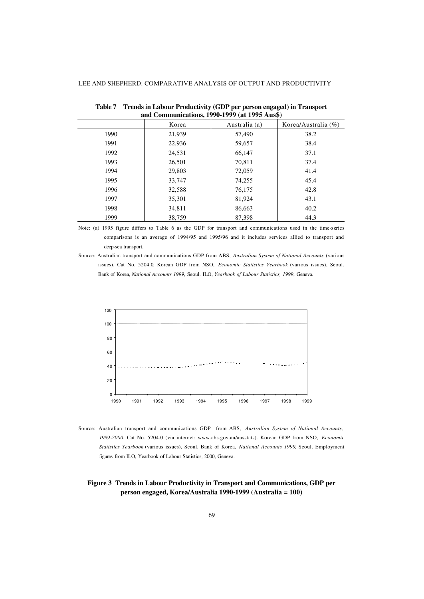| and Communications, 1990-1999 (at 1995 Aus\$) |        |               |                        |  |  |  |  |
|-----------------------------------------------|--------|---------------|------------------------|--|--|--|--|
|                                               | Korea  | Australia (a) | Korea/Australia $(\%)$ |  |  |  |  |
| 1990                                          | 21,939 | 57,490        | 38.2                   |  |  |  |  |
| 1991                                          | 22,936 | 59,657        | 38.4                   |  |  |  |  |
| 1992                                          | 24,531 | 66,147        | 37.1                   |  |  |  |  |
| 1993                                          | 26,501 | 70,811        | 37.4                   |  |  |  |  |
| 1994                                          | 29,803 | 72,059        | 41.4                   |  |  |  |  |
| 1995                                          | 33,747 | 74,255        | 45.4                   |  |  |  |  |
| 1996                                          | 32,588 | 76,175        | 42.8                   |  |  |  |  |
| 1997                                          | 35,301 | 81,924        | 43.1                   |  |  |  |  |
| 1998                                          | 34,811 | 86,663        | 40.2                   |  |  |  |  |
| 1999                                          | 38.759 | 87,398        | 44.3                   |  |  |  |  |

**Table 7 Trends in Labour Productivity (GDP per person engaged) in Transport** 

Note: (a) 1995 figure differs to Table 6 as the GDP for transport and communications used in the time-series comparisons is an average of 1994/95 and 1995/96 and it includes services allied to transport and deep-sea transport.

Source: Australian transport and communications GDP from ABS, *Australian System of National Accounts* (various issues), Cat No. 5204.0. Korean GDP from NSO, *Economic Statistics Yearbook* (various issues), Seoul. Bank of Korea, *National Accounts 1999*, Seoul. ILO, *Yearbook of Labour Statistics, 1999*, Geneva.



Source: Australian transport and communications GDP from ABS, *Australian System of National Accounts, 1999-2000*, Cat No. 5204.0 (via internet: www.abs.gov.au/ausstats). Korean GDP from NSO, *Economic Statistics Yearbook* (various issues), Seoul. Bank of Korea, *National Accounts 1999*, Seoul. Employment figures from ILO, Yearbook of Labour Statistics, 2000, Geneva.

# **Figure 3 Trends in Labour Productivity in Transport and Communications, GDP per person engaged, Korea/Australia 1990-1999 (Australia = 100)**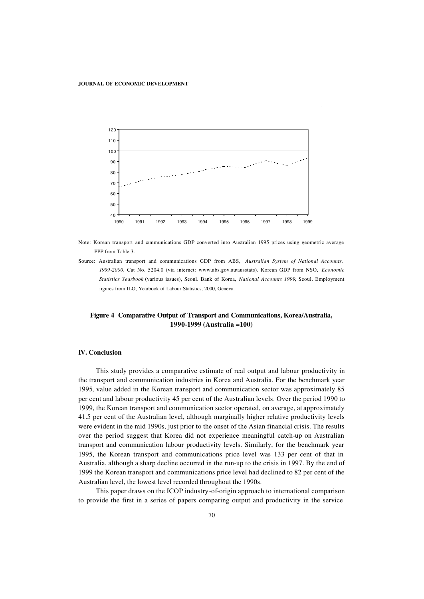

Note: Korean transport and communications GDP converted into Australian 1995 prices using geometric average PPP from Table 3.

Source: Australian transport and communications GDP from ABS, *Australian System of National Accounts, 1999-2000*, Cat No. 5204.0 (via internet: www.abs.gov.au/ausstats). Korean GDP from NSO, *Economic Statistics Yearbook* (various issues), Seoul. Bank of Korea, *National Accounts 1999*, Seoul. Employment figures from ILO, Yearbook of Labour Statistics, 2000, Geneva.

# **Figure 4 Comparative Output of Transport and Communications, Korea/Australia, 1990-1999 (Australia =100)**

# **IV. Conclusion**

This study provides a comparative estimate of real output and labour productivity in the transport and communication industries in Korea and Australia. For the benchmark year 1995, value added in the Korean transport and communication sector was approximately 85 per cent and labour productivity 45 per cent of the Australian levels. Over the period 1990 to 1999, the Korean transport and communication sector operated, on average, at approximately 41.5 per cent of the Australian level, although marginally higher relative productivity levels were evident in the mid 1990s, just prior to the onset of the Asian financial crisis. The results over the period suggest that Korea did not experience meaningful catch-up on Australian transport and communication labour productivity levels. Similarly, for the benchmark year 1995, the Korean transport and communications price level was 133 per cent of that in Australia, although a sharp decline occurred in the run-up to the crisis in 1997. By the end of 1999 the Korean transport and communications price level had declined to 82 per cent of the Australian level, the lowest level recorded throughout the 1990s.

This paper draws on the ICOP industry-of-origin approach to international comparison to provide the first in a series of papers comparing output and productivity in the service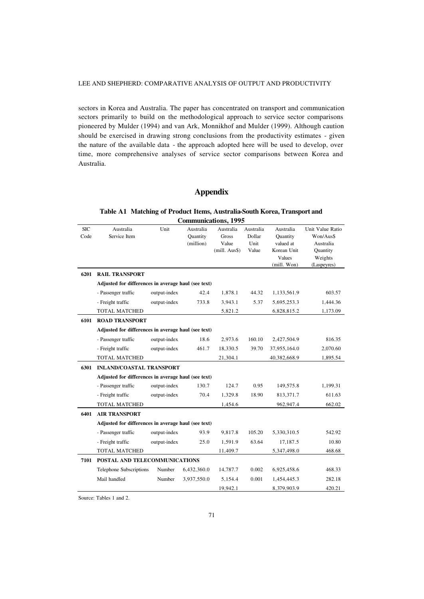sectors in Korea and Australia. The paper has concentrated on transport and communication sectors primarily to build on the methodological approach to service sector comparisons pioneered by Mulder (1994) and van Ark, Monnikhof and Mulder (1999). Although caution should be exercised in drawing strong conclusions from the productivity estimates - given the nature of the available data - the approach adopted here will be used to develop, over time, more comprehensive analyses of service sector comparisons between Korea and Australia.

# **Appendix**

# **Table A1 Matching of Product Items, Australia-South Korea, Transport and Communications, 1995**

| <b>SIC</b> | Australia                                           | Unit         | Australia       | Australia        | Australia | Australia    | Unit Value Ratio |
|------------|-----------------------------------------------------|--------------|-----------------|------------------|-----------|--------------|------------------|
| Code       | Service Item                                        |              | <b>Quantity</b> | Gross            | Dollar    | Ouantity     | Won/Aus\$        |
|            |                                                     |              | (million)       | Value            | Unit      | valued at    | Australia        |
|            |                                                     |              |                 | $(mill. Aus$ \$) | Value     | Korean Unit  | Quantity         |
|            |                                                     |              |                 |                  |           | Values       | Weights          |
|            |                                                     |              |                 |                  |           | (mill. Won)  | (Laspeyres)      |
| 6201       | <b>RAIL TRANSPORT</b>                               |              |                 |                  |           |              |                  |
|            | Adjusted for differences in average haul (see text) |              |                 |                  |           |              |                  |
|            | - Passenger traffic                                 | output-index | 42.4            | 1,878.1          | 44.32     | 1,133,561.9  | 603.57           |
|            | - Freight traffic                                   | output-index | 733.8           | 3,943.1          | 5.37      | 5,695,253.3  | 1,444.36         |
|            | <b>TOTAL MATCHED</b>                                |              |                 | 5,821.2          |           | 6,828,815.2  | 1,173.09         |
| 6101       | <b>ROAD TRANSPORT</b>                               |              |                 |                  |           |              |                  |
|            | Adjusted for differences in average haul (see text) |              |                 |                  |           |              |                  |
|            | - Passenger traffic                                 | output-index | 18.6            | 2,973.6          | 160.10    | 2,427,504.9  | 816.35           |
|            | - Freight traffic                                   | output-index | 461.7           | 18,330.5         | 39.70     | 37,955,164.0 | 2,070.60         |
|            | <b>TOTAL MATCHED</b>                                |              |                 | 21,304.1         |           | 40,382,668.9 | 1,895.54         |
| 6301       | <b>INLAND/COASTAL TRANSPORT</b>                     |              |                 |                  |           |              |                  |
|            | Adjusted for differences in average haul (see text) |              |                 |                  |           |              |                  |
|            | - Passenger traffic                                 | output-index | 130.7           | 124.7            | 0.95      | 149,575.8    | 1,199.31         |
|            | - Freight traffic                                   | output-index | 70.4            | 1,329.8          | 18.90     | 813,371.7    | 611.63           |
|            | <b>TOTAL MATCHED</b>                                |              |                 | 1,454.6          |           | 962,947.4    | 662.02           |
| 6401       | <b>AIR TRANSPORT</b>                                |              |                 |                  |           |              |                  |
|            | Adjusted for differences in average haul (see text) |              |                 |                  |           |              |                  |
|            | - Passenger traffic                                 | output-index | 93.9            | 9,817.8          | 105.20    | 5,330,310.5  | 542.92           |
|            | - Freight traffic                                   | output-index | 25.0            | 1,591.9          | 63.64     | 17,187.5     | 10.80            |
|            | <b>TOTAL MATCHED</b>                                |              |                 | 11,409.7         |           | 5,347,498.0  | 468.68           |
| 7101       | POSTAL AND TELECOMMUNICATIONS                       |              |                 |                  |           |              |                  |
|            | Telephone Subscriptions                             | Number       | 6,432,360.0     | 14,787.7         | 0.002     | 6,925,458.6  | 468.33           |
|            | Mail handled                                        | Number       | 3,937,550.0     | 5,154.4          | 0.001     | 1,454,445.3  | 282.18           |
|            |                                                     |              |                 | 19,942.1         |           | 8,379,903.9  | 420.21           |

Source: Tables 1 and 2.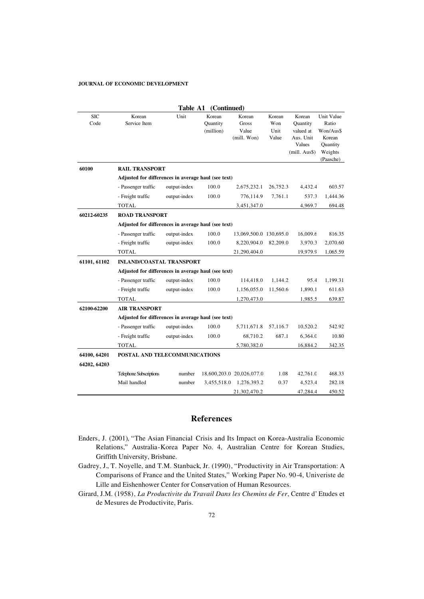|                    |                                                     | Table A1     | (Continued)                     |                                         |                                |                                                                                     |                                                                   |
|--------------------|-----------------------------------------------------|--------------|---------------------------------|-----------------------------------------|--------------------------------|-------------------------------------------------------------------------------------|-------------------------------------------------------------------|
| <b>SIC</b><br>Code | Korean<br>Service Item                              | Unit         | Korean<br>Quantity<br>(million) | Korean<br>Gross<br>Value<br>(mill. Won) | Korean<br>Won<br>Unit<br>Value | Korean<br>Quantity<br>valued at<br>Aus. Unit<br>Values<br>(mill. Aus <sup>§</sup> ) | Unit Value<br>Ratio<br>Won/Aus\$<br>Korean<br>Quantity<br>Weights |
|                    |                                                     |              |                                 |                                         |                                |                                                                                     | (Paasche)                                                         |
| 60100              | <b>RAIL TRANSPORT</b>                               |              |                                 |                                         |                                |                                                                                     |                                                                   |
|                    | Adjusted for differences in average haul (see text) |              |                                 |                                         |                                |                                                                                     |                                                                   |
|                    | - Passenger traffic                                 | output-index | 100.0                           | 2,675,232.1                             | 26,752.3                       | 4,432.4                                                                             | 603.57                                                            |
|                    | - Freight traffic                                   | output-index | 100.0                           | 776,114.9                               | 7,761.1                        | 537.3                                                                               | 1,444.36                                                          |
|                    | <b>TOTAL</b>                                        |              |                                 | 3,451,347.0                             |                                | 4,969.7                                                                             | 694.48                                                            |
| 60212-60235        | <b>ROAD TRANSPORT</b>                               |              |                                 |                                         |                                |                                                                                     |                                                                   |
|                    | Adjusted for differences in average haul (see text) |              |                                 |                                         |                                |                                                                                     |                                                                   |
|                    | - Passenger traffic                                 | output-index | 100.0                           | 13,069,500.0 130,695.0                  |                                | 16,009.6                                                                            | 816.35                                                            |
|                    | - Freight traffic                                   | output-index | 100.0                           | 8,220,904.0                             | 82,209.0                       | 3,970.3                                                                             | 2,070.60                                                          |
|                    | <b>TOTAL</b>                                        |              |                                 | 21,290,404.0                            |                                | 19,979.9                                                                            | 1,065.59                                                          |
| 61101, 61102       | <b>INLAND/COASTAL TRANSPORT</b>                     |              |                                 |                                         |                                |                                                                                     |                                                                   |
|                    | Adjusted for differences in average haul (see text) |              |                                 |                                         |                                |                                                                                     |                                                                   |
|                    | - Passenger traffic                                 | output-index | 100.0                           | 114,418.0                               | 1,144.2                        | 95.4                                                                                | 1,199.31                                                          |
|                    | - Freight traffic                                   | output-index | 100.0                           | 1,156,055.0                             | 11,560.6                       | 1,890.1                                                                             | 611.63                                                            |
|                    | <b>TOTAL</b>                                        |              |                                 | 1,270,473.0                             |                                | 1,985.5                                                                             | 639.87                                                            |
| 62100-62200        | <b>AIR TRANSPORT</b>                                |              |                                 |                                         |                                |                                                                                     |                                                                   |
|                    | Adjusted for differences in average haul (see text) |              |                                 |                                         |                                |                                                                                     |                                                                   |
|                    | - Passenger traffic                                 | output-index | 100.0                           | 5,711,671.8                             | 57,116.7                       | 10,520.2                                                                            | 542.92                                                            |
|                    | - Freight traffic                                   | output-index | 100.0                           | 68,710.2                                | 687.1                          | 6,364.0                                                                             | 10.80                                                             |
|                    | <b>TOTAL</b>                                        |              |                                 | 5,780,382.0                             |                                | 16,884.2                                                                            | 342.35                                                            |
| 64100, 64201       | POSTAL AND TELECOMMUNICATIONS                       |              |                                 |                                         |                                |                                                                                     |                                                                   |
| 64202, 64203       |                                                     |              |                                 |                                         |                                |                                                                                     |                                                                   |
|                    | <b>Telephone Subscriptions</b>                      | number       |                                 | 18,600,203.0 20,026,077.0               | 1.08                           | 42,761.0                                                                            | 468.33                                                            |
|                    | Mail handled                                        | number       | 3,455,518.0                     | 1,276,393.2                             | 0.37                           | 4,523.4                                                                             | 282.18                                                            |
|                    |                                                     |              |                                 | 21,302,470.2                            |                                | 47,284.4                                                                            | 450.52                                                            |

# **References**

- Enders, J. (2001), "The Asian Financial Crisis and Its Impact on Korea-Australia Economic Relations," Australia-Korea Paper No. 4, Australian Centre for Korean Studies, Griffith University, Brisbane.
- Gadrey, J., T. Noyelle, and T.M. Stanback, Jr. (1990), "Productivity in Air Transportation: A Comparisons of France and the United States," Working Paper No. 90-4, Univeriste de Lille and Eishenhower Center for Conservation of Human Resources.
- Girard, J.M. (1958), *La Productivite du Travail Dans les Chemins de Fer*, Centre d' Etudes et de Mesures de Productivite, Paris.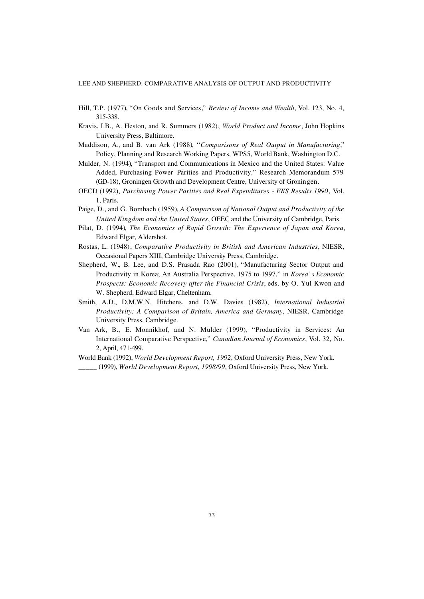- Hill, T.P. (1977), "On Goods and Services," *Review of Income and Wealth*, Vol. 123, No. 4, 315-338.
- Kravis, I.B., A. Heston, and R. Summers (1982), *World Product and Income*, John Hopkins University Press, Baltimore.
- Maddison, A., and B. van Ark (1988), "*Comparisons of Real Output in Manufacturing*," Policy, Planning and Research Working Papers, WPS5, World Bank, Washington D.C.
- Mulder, N. (1994), "Transport and Communications in Mexico and the United States: Value Added, Purchasing Power Parities and Productivity," Research Memorandum 579 (GD-18), Groningen Growth and Development Centre, University of Groningen.
- OECD (1992), *Purchasing Power Parities and Real Expenditures EKS Results 1990*, Vol. 1, Paris.
- Paige, D., and G. Bombach (1959), *A Comparison of National Output and Productivity of the United Kingdom and the United States*, OEEC and the University of Cambridge, Paris.
- Pilat, D. (1994), *The Economics of Rapid Growth: The Experience of Japan and Korea*, Edward Elgar, Aldershot.
- Rostas, L. (1948), *Comparative Productivity in British and American Industries*, NIESR, Occasional Papers XIII, Cambridge University Press, Cambridge.
- Shepherd, W., B. Lee, and D.S. Prasada Rao (2001), "Manufacturing Sector Output and Productivity in Korea; An Australia Perspective, 1975 to 1997," in *Korea' s Economic Prospects: Economic Recovery after the Financial Crisis*, eds. by O. Yul Kwon and W. Shepherd, Edward Elgar, Cheltenham.
- Smith, A.D., D.M.W.N. Hitchens, and D.W. Davies (1982), *International Industrial Productivity: A Comparison of Britain, America and Germany*, NIESR, Cambridge University Press, Cambridge.
- Van Ark, B., E. Monnikhof, and N. Mulder (1999), "Productivity in Services: An International Comparative Perspective," *Canadian Journal of Economics*, Vol. 32, No. 2, April, 471-499.
- World Bank (1992), *World Development Report, 1992*, Oxford University Press, New York. \_\_\_\_\_ (1999), *World Development Report, 1998/99*, Oxford University Press, New York.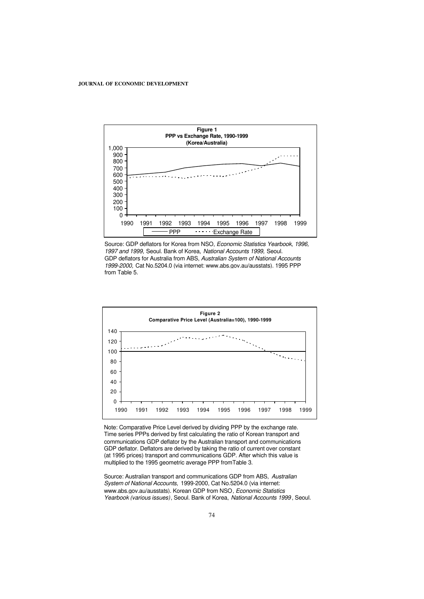

Source: GDP deflators for Korea from NSO, *Economic Statistics Yearbook, 1996, 1997 and 1999,* Seoul. Bank of Korea, *National Accounts 1999,* Seoul. GDP deflators for Australia from ABS, *Australian System of National Accounts 1999-2000,* Cat No.5204.0 (via internet: www.abs.gov.au/ausstats). 1995 PPP from Table 5.



Note: Comparative Price Level derived by dividing PPP by the exchange rate. Time series PPPs derived by first calculating the ratio of Korean transport and communications GDP deflator by the Australian transport and communications GDP deflator. Deflators are derived by taking the ratio of current over constant (at 1995 prices) transport and communications GDP. After which this value is multiplied to the 1995 geometric average PPP fromTable 3.

Source: Australian transport and communications GDP from ABS, *Australian System of National Accounts,* 1999-2000, Cat No.5204.0 (via internet: www.abs.gov.au/ausstats). Korean GDP from NSO*, Economic Statistics Yearbook (various issues)*, Seoul. Bank of Korea, *National Accounts 1999* , Seoul.